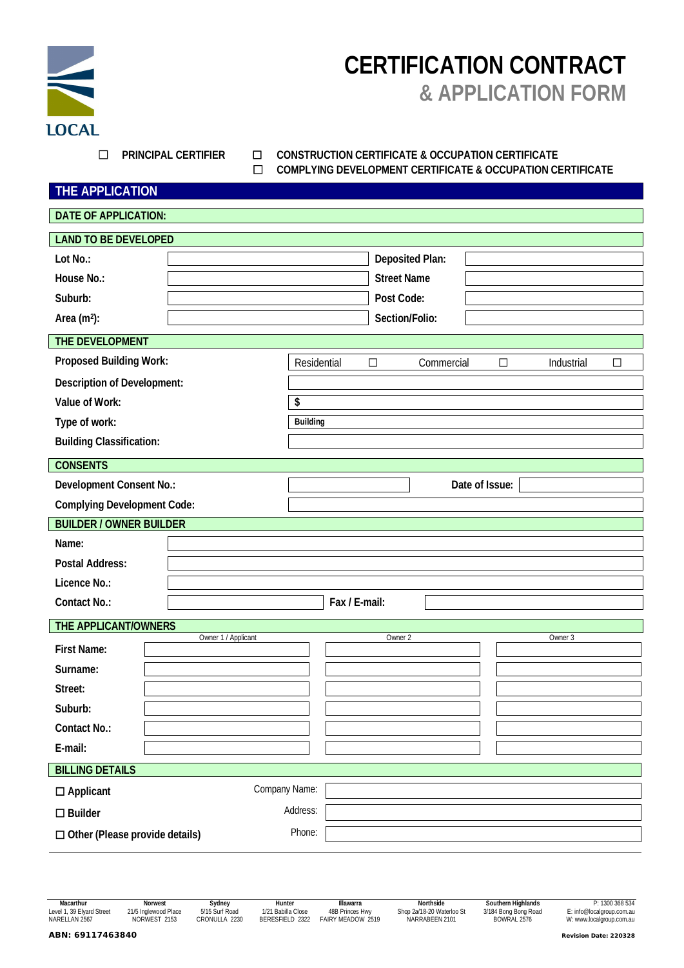

# **CERTIFICATION CONTRACT & APPLICATION FORM**

#### ☐ **PRINCIPAL CERTIFIER** ☐ **CONSTRUCTION CERTIFICATE & OCCUPATION CERTIFICATE** ☐ **COMPLYING DEVELOPMENT CERTIFICATE & OCCUPATION CERTIFICATE**

| THE APPLICATION |
|-----------------|
|-----------------|

| <b>DATE OF APPLICATION:</b>           |                     |               |                      |                                |
|---------------------------------------|---------------------|---------------|----------------------|--------------------------------|
| <b>LAND TO BE DEVELOPED</b>           |                     |               |                      |                                |
| Lot No.:                              |                     |               | Deposited Plan:      |                                |
| House No.:                            |                     |               | <b>Street Name</b>   |                                |
| Suburb:                               |                     |               | Post Code:           |                                |
| Area (m <sup>2</sup> ):               |                     |               | Section/Folio:       |                                |
| THE DEVELOPMENT                       |                     |               |                      |                                |
| Proposed Building Work:               |                     | Residential   | Commercial<br>$\Box$ | $\Box$<br>Industrial<br>$\Box$ |
| Description of Development:           |                     |               |                      |                                |
| Value of Work:                        |                     | \$            |                      |                                |
| Type of work:                         |                     | Building      |                      |                                |
| <b>Building Classification:</b>       |                     |               |                      |                                |
| <b>CONSENTS</b>                       |                     |               |                      |                                |
| Development Consent No.:              |                     |               |                      | Date of Issue:                 |
| <b>Complying Development Code:</b>    |                     |               |                      |                                |
| <b>BUILDER / OWNER BUILDER</b>        |                     |               |                      |                                |
| Name:                                 |                     |               |                      |                                |
| Postal Address:                       |                     |               |                      |                                |
| Licence No.:                          |                     |               |                      |                                |
| Contact No.:                          |                     | Fax / E-mail: |                      |                                |
| THE APPLICANT/OWNERS                  |                     |               |                      |                                |
| First Name:                           | Owner 1 / Applicant |               | Owner 2              | Owner 3                        |
| Surname:                              |                     |               |                      |                                |
| Street:                               |                     |               |                      |                                |
| Suburb:                               |                     |               |                      |                                |
| Contact No.:                          |                     |               |                      |                                |
| E-mail:                               |                     |               |                      |                                |
| <b>BILLING DETAILS</b>                |                     |               |                      |                                |
| $\square$ Applicant                   | Company Name:       |               |                      |                                |
| $\square$ Builder                     |                     | Address:      |                      |                                |
| $\Box$ Other (Please provide details) |                     | Phone:        |                      |                                |
|                                       |                     |               |                      |                                |

Macarthur Morvest Morvest Sydney Hunter Hunter Illawarra Northside Southern Highlands P: 1300 368 534<br>Level 1, 39 Elyard Street 21/5 Inglewood Place 5/15 Surf Road 1/21 Babilla Close 48B Princes Hwy Shop 2a/18-20 Waterloo NARELLAN 2567 Northside Southern Highlands P: 1300 368 534<br>1913 Level 1, 39 Elyard Street 21/5 Inglewood Place 5/15 Surf Road 1/21 Babilla Close 48B Princes Hwy Shop 2a/18-20 Waterloo St 3/184 Bong Bong Road E: info@local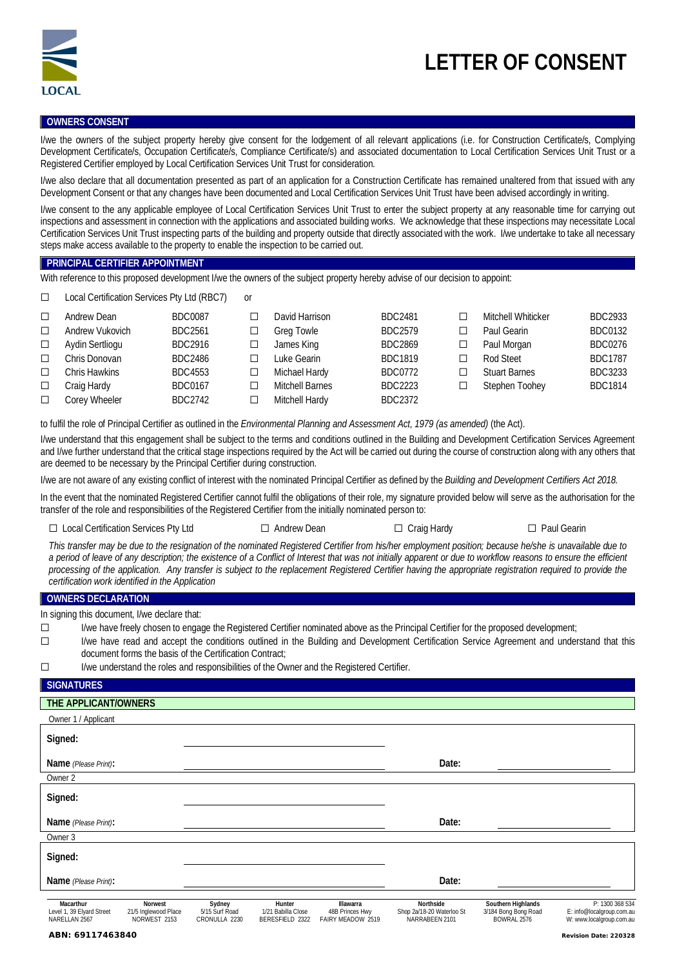

#### **OWNERS CONSENT**

I/we the owners of the subject property hereby give consent for the lodgement of all relevant applications (i.e. for Construction Certificate/s, Complying Development Certificate/s, Occupation Certificate/s, Compliance Certificate/s) and associated documentation to Local Certification Services Unit Trust or a Registered Certifier employed by Local Certification Services Unit Trust for consideration.

I/we also declare that all documentation presented as part of an application for a Construction Certificate has remained unaltered from that issued with any Development Consent or that any changes have been documented and Local Certification Services Unit Trust have been advised accordingly in writing.

I/we consent to the any applicable employee of Local Certification Services Unit Trust to enter the subject property at any reasonable time for carrying out inspections and assessment in connection with the applications and associated building works. We acknowledge that these inspections may necessitate Local Certification Services Unit Trust inspecting parts of the building and property outside that directly associated with the work. I/we undertake to take all necessary steps make access available to the property to enable the inspection to be carried out.

#### **PRINCIPAL CERTIFIER APPOINTMENT**

With reference to this proposed development I/we the owners of the subject property hereby advise of our decision to appoint:

☐ Local Certification Services Pty Ltd (RBC7) or

| $\Box$ | Andrew Dean          | <b>BDC0087</b> | David Harrison         | <b>BDC2481</b> |   | Mitchell Whiticker   | BDC2933        |
|--------|----------------------|----------------|------------------------|----------------|---|----------------------|----------------|
| $\Box$ | Andrew Vukovich      | BDC2561        | <b>Greg Towle</b>      | <b>BDC2579</b> |   | Paul Gearin          | <b>BDC0132</b> |
| $\Box$ | Aydin Sertliogu      | BDC2916        | James King             | <b>BDC2869</b> | □ | Paul Morgan          | <b>BDC0276</b> |
| $\Box$ | Chris Donovan        | BDC2486        | Luke Gearin            | <b>BDC1819</b> |   | Rod Steet            | <b>BDC1787</b> |
| $\Box$ | <b>Chris Hawkins</b> | <b>BDC4553</b> | Michael Hardy          | <b>BDC0772</b> |   | <b>Stuart Barnes</b> | BDC3233        |
| $\Box$ | Craig Hardy          | <b>BDC0167</b> | <b>Mitchell Barnes</b> | BDC2223        |   | Stephen Toohey       | <b>BDC1814</b> |
| $\Box$ | Corey Wheeler        | <b>BDC2742</b> | Mitchell Hardy         | <b>BDC2372</b> |   |                      |                |

to fulfil the role of Principal Certifier as outlined in the *Environmental Planning and Assessment Act, 1979 (as amended)* (the Act).

I/we understand that this engagement shall be subject to the terms and conditions outlined in the Building and Development Certification Services Agreement and I/we further understand that the critical stage inspections required by the Act will be carried out during the course of construction along with any others that are deemed to be necessary by the Principal Certifier during construction.

I/we are not aware of any existing conflict of interest with the nominated Principal Certifier as defined by the *Building and Development Certifiers Act 2018.*

In the event that the nominated Registered Certifier cannot fulfil the obligations of their role, my signature provided below will serve as the authorisation for the transfer of the role and responsibilities of the Registered Certifier from the initially nominated person to:

☐ Local Certification Services Pty Ltd ☐ Andrew Dean ☐ Craig Hardy ☐ Paul Gearin

*This transfer may be due to the resignation of the nominated Registered Certifier from his/her employment position; because he/she is unavailable due to a period of leave of any description; the existence of a Conflict of Interest that was not initially apparent or due to workflow reasons to ensure the efficient processing of the application. Any transfer is subject to the replacement Registered Certifier having the appropriate registration required to provide the certification work identified in the Application*

#### **OWNERS DECLARATION**

In signing this document, I/we declare that:

☐ I/we have freely chosen to engage the Registered Certifier nominated above as the Principal Certifier for the proposed development;

☐ I/we have read and accept the conditions outlined in the Building and Development Certification Service Agreement and understand that this document forms the basis of the Certification Contract;

☐ I/we understand the roles and responsibilities of the Owner and the Registered Certifier.

### **SIGNATURES**

| THE APPLICANT/OWNERS                                    |                                                 |                                           |                                                 |                                                   |                                                          |                                                           |                                                                          |
|---------------------------------------------------------|-------------------------------------------------|-------------------------------------------|-------------------------------------------------|---------------------------------------------------|----------------------------------------------------------|-----------------------------------------------------------|--------------------------------------------------------------------------|
| Owner 1 / Applicant                                     |                                                 |                                           |                                                 |                                                   |                                                          |                                                           |                                                                          |
| Signed:                                                 |                                                 |                                           |                                                 |                                                   |                                                          |                                                           |                                                                          |
| Name (Please Print):                                    |                                                 |                                           |                                                 |                                                   | Date:                                                    |                                                           |                                                                          |
| Owner 2                                                 |                                                 |                                           |                                                 |                                                   |                                                          |                                                           |                                                                          |
| Signed:                                                 |                                                 |                                           |                                                 |                                                   |                                                          |                                                           |                                                                          |
| Name (Please Print):                                    |                                                 |                                           |                                                 |                                                   | Date:                                                    |                                                           |                                                                          |
| Owner 3                                                 |                                                 |                                           |                                                 |                                                   |                                                          |                                                           |                                                                          |
| Signed:                                                 |                                                 |                                           |                                                 |                                                   |                                                          |                                                           |                                                                          |
| Name (Please Print):                                    |                                                 |                                           |                                                 |                                                   | Date:                                                    |                                                           |                                                                          |
| Macarthur<br>Level 1, 39 Elyard Street<br>NARELLAN 2567 | Norwest<br>21/5 Inglewood Place<br>NORWEST 2153 | Sydney<br>5/15 Surf Road<br>CRONULLA 2230 | Hunter<br>1/21 Babilla Close<br>BERESFIELD 2322 | Illawarra<br>48B Princes Hwy<br>FAIRY MEADOW 2519 | Northside<br>Shop 2a/18-20 Waterloo St<br>NARRABEEN 2101 | Southern Highlands<br>3/184 Bong Bong Road<br>BOWRAL 2576 | P: 1300 368 534<br>E: info@localgroup.com.au<br>W: www.localgroup.com.au |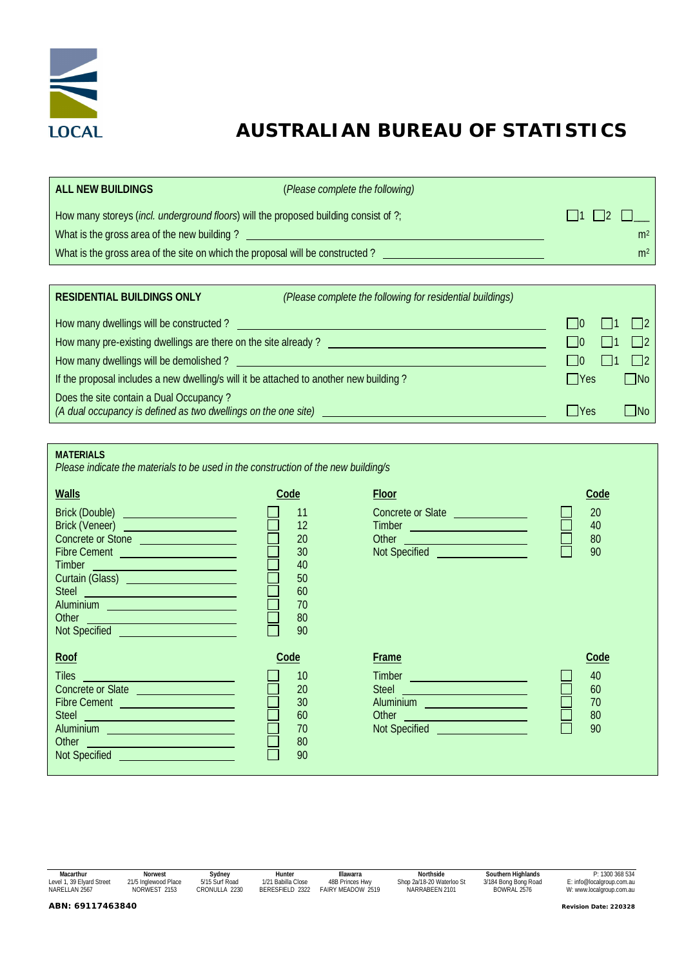

# **AUSTRALIAN BUREAU OF STATISTICS**

| ALL NEW BUILDINGS                                                                             | (Please complete the following) |                |
|-----------------------------------------------------------------------------------------------|---------------------------------|----------------|
| How many storeys ( <i>incl. underground floors</i> ) will the proposed building consist of ?; | 11112                           |                |
| What is the gross area of the new building?                                                   |                                 | m <sup>2</sup> |
| What is the gross area of the site on which the proposal will be constructed?                 |                                 | m <sup>2</sup> |

| <b>RESIDENTIAL BUILDINGS ONLY</b>                                                                         | (Please complete the following for residential buildings) |            |                   |
|-----------------------------------------------------------------------------------------------------------|-----------------------------------------------------------|------------|-------------------|
| How many dwellings will be constructed?                                                                   |                                                           | $\vert$ 10 |                   |
| How many pre-existing dwellings are there on the site already?                                            |                                                           | $\Box$ lo  | $\vert$ $\vert$ 2 |
| How many dwellings will be demolished?                                                                    |                                                           | l 10       |                   |
| If the proposal includes a new dwelling/s will it be attached to another new building?                    |                                                           | $\Box$ Yes | $\Box$ No         |
| Does the site contain a Dual Occupancy?<br>(A dual occupancy is defined as two dwellings on the one site) |                                                           | l lYes     | $\Box$ No         |

*Please indicate the materials to be used in the construction of the new building/s*

| <b>Walls</b><br>Brick (Double) <u>_____________________</u><br>Brick (Veneer) <u>_____________________</u><br>Concrete or Stone<br>Fibre Cement<br>Timber<br><u> 1999 - Johann Barnett, fransk politiker (d. 19</u><br>Curtain (Glass) <u>_____________________</u><br>Steel <b>Steel Steel Account of the Steel Account of the Steel Account of the Steel Account of the Steel Account</b><br>Aluminium <u>Communication and Communication</u><br>Other<br><u> 1970 - Jan Barnett, fransk politik (d. 1980)</u><br>Not Specified and the contract of the contract of the contract of the contract of the contract of the contract of the contract of the contract of the contract of the contract of the contract of the contract of the contract | Code<br>11<br>12<br>20<br>30<br>40<br>50<br>60<br>70<br>80<br>90 | Floor<br>Concrete or Slate<br>Timber <u>experience</u><br>Other <b>Communication</b><br>Not Specified and the control of the control of the control of the control of the control of the control of the | Code<br>20<br>40<br>80<br>90       |
|----------------------------------------------------------------------------------------------------------------------------------------------------------------------------------------------------------------------------------------------------------------------------------------------------------------------------------------------------------------------------------------------------------------------------------------------------------------------------------------------------------------------------------------------------------------------------------------------------------------------------------------------------------------------------------------------------------------------------------------------------|------------------------------------------------------------------|---------------------------------------------------------------------------------------------------------------------------------------------------------------------------------------------------------|------------------------------------|
| Roof<br>Tiles <b>The Community of the Community of the Community</b><br>Concrete or Slate<br>Fibre Cement <b>Exercise Service Communication</b><br>Steel <b>Steel Steel Steel Steel Steel Steel Steel Steel Steel Steel Steel Steel Steel Steel Steel Steel Steel Steel Steel Steel Steel Steel Steel Steel Steel Steel Steel Steel Steel Steel Steel Steel Steel Steel Steel Ste</b><br>Aluminium <u>__________________________</u><br>Other <b>Communication</b><br><b>Not Specified Annual Secrets</b> Control of the Control of the Control of the Control of the Control of the Control of the Control of the Control of the Control of the Control of the Control of the Control of the Control of                                           | Code<br>10<br>20<br>30<br>60<br>70<br>80<br>90                   | Frame<br>Timber <u>experience</u><br><b>Steel</b><br>Aluminium <b>Aluminium</b><br>Other <b>Communication</b><br>Not Specified <b>Container the Specified</b>                                           | Code<br>40<br>60<br>70<br>80<br>90 |

| Macarthur                 | Norwest              | Sydney         | Hunter             | Illawarra                | Northside                 | Southern Highlands   | P: 1300 368 534           |  |
|---------------------------|----------------------|----------------|--------------------|--------------------------|---------------------------|----------------------|---------------------------|--|
| Level 1, 39 Elyard Street | 21/5 Inglewood Place | 5/15 Surf Road | 1/21 Babilla Close | 48B Princes Hwy          | Shop 2a/18-20 Waterloo St | 3/184 Bong Bong Road | E: info@localgroup.com.au |  |
| NARELLAN 2567             | NORWEST 2153         | CRONULLA 2230  | BERESFIELD 2322    | <b>FAIRY MFADOW 2519</b> | NARRABEEN 2101            | BOWRAL 2576          | W: www.localgroup.com.au  |  |
| ABN: 69117463840          |                      |                |                    |                          |                           |                      |                           |  |
|                           |                      |                |                    |                          |                           |                      | Revision Date: 220328     |  |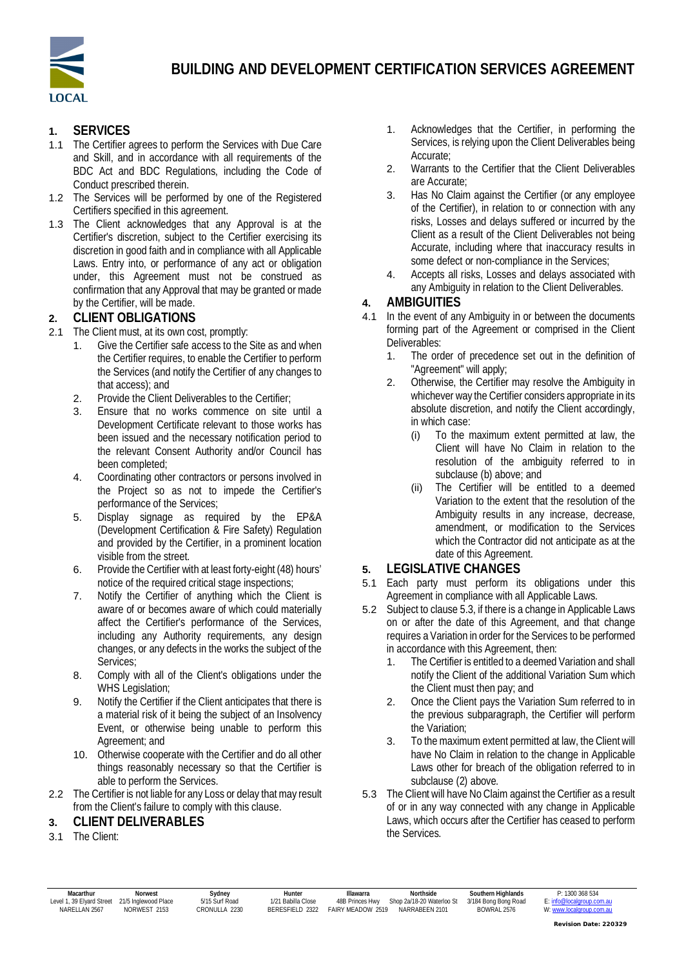

## **1. SERVICES**

- 1.1 The Certifier agrees to perform the Services with Due Care and Skill, and in accordance with all requirements of the BDC Act and BDC Regulations, including the Code of Conduct prescribed therein.
- 1.2 The Services will be performed by one of the Registered Certifiers specified in this agreement.
- 1.3 The Client acknowledges that any Approval is at the Certifier's discretion, subject to the Certifier exercising its discretion in good faith and in compliance with all Applicable Laws. Entry into, or performance of any act or obligation under, this Agreement must not be construed as confirmation that any Approval that may be granted or made by the Certifier, will be made.

#### **2. CLIENT OBLIGATIONS**

- 2.1 The Client must, at its own cost, promptly:
	- Give the Certifier safe access to the Site as and when the Certifier requires, to enable the Certifier to perform the Services (and notify the Certifier of any changes to that access); and
	- 2. Provide the Client Deliverables to the Certifier;
	- 3. Ensure that no works commence on site until a Development Certificate relevant to those works has been issued and the necessary notification period to the relevant Consent Authority and/or Council has been completed;
	- 4. Coordinating other contractors or persons involved in the Project so as not to impede the Certifier's performance of the Services;
	- 5. Display signage as required by the EP&A (Development Certification & Fire Safety) Regulation and provided by the Certifier, in a prominent location visible from the street.
	- 6. Provide the Certifier with at least forty-eight (48) hours' notice of the required critical stage inspections;
	- 7. Notify the Certifier of anything which the Client is aware of or becomes aware of which could materially affect the Certifier's performance of the Services, including any Authority requirements, any design changes, or any defects in the works the subject of the Services:
	- 8. Comply with all of the Client's obligations under the WHS Legislation;
	- 9. Notify the Certifier if the Client anticipates that there is a material risk of it being the subject of an Insolvency Event, or otherwise being unable to perform this Agreement; and
	- 10. Otherwise cooperate with the Certifier and do all other things reasonably necessary so that the Certifier is able to perform the Services.
- 2.2 The Certifier is not liable for any Loss or delay that may result from the Client's failure to comply with this clause.
- **3. CLIENT DELIVERABLES**
- 3.1 The Client:
- 1. Acknowledges that the Certifier, in performing the Services, is relying upon the Client Deliverables being Accurate;
- 2. Warrants to the Certifier that the Client Deliverables are Accurate;
- 3. Has No Claim against the Certifier (or any employee of the Certifier), in relation to or connection with any risks, Losses and delays suffered or incurred by the Client as a result of the Client Deliverables not being Accurate, including where that inaccuracy results in some defect or non-compliance in the Services;
- 4. Accepts all risks, Losses and delays associated with any Ambiguity in relation to the Client Deliverables.

#### **4. AMBIGUITIES**

- 4.1 In the event of any Ambiguity in or between the documents forming part of the Agreement or comprised in the Client Deliverables:
	- 1. The order of precedence set out in the definition of "Agreement" will apply;
	- 2. Otherwise, the Certifier may resolve the Ambiguity in whichever way the Certifier considers appropriate in its absolute discretion, and notify the Client accordingly, in which case:
		- (i) To the maximum extent permitted at law, the Client will have No Claim in relation to the resolution of the ambiguity referred to in subclause (b) above; and
		- (ii) The Certifier will be entitled to a deemed Variation to the extent that the resolution of the Ambiguity results in any increase, decrease, amendment, or modification to the Services which the Contractor did not anticipate as at the date of this Agreement.
- **5. LEGISLATIVE CHANGES**
- 5.1 Each party must perform its obligations under this Agreement in compliance with all Applicable Laws.
- 5.2 Subject to clause 5.3, if there is a change in Applicable Laws on or after the date of this Agreement, and that change requires a Variation in order for the Services to be performed in accordance with this Agreement, then:
	- 1. The Certifier is entitled to a deemed Variation and shall notify the Client of the additional Variation Sum which the Client must then pay; and
	- 2. Once the Client pays the Variation Sum referred to in the previous subparagraph, the Certifier will perform the Variation;
	- 3. To the maximum extent permitted at law, the Client will have No Claim in relation to the change in Applicable Laws other for breach of the obligation referred to in subclause (2) above.
- 5.3 The Client will have No Claim against the Certifier as a result of or in any way connected with any change in Applicable Laws, which occurs after the Certifier has ceased to perform the Services.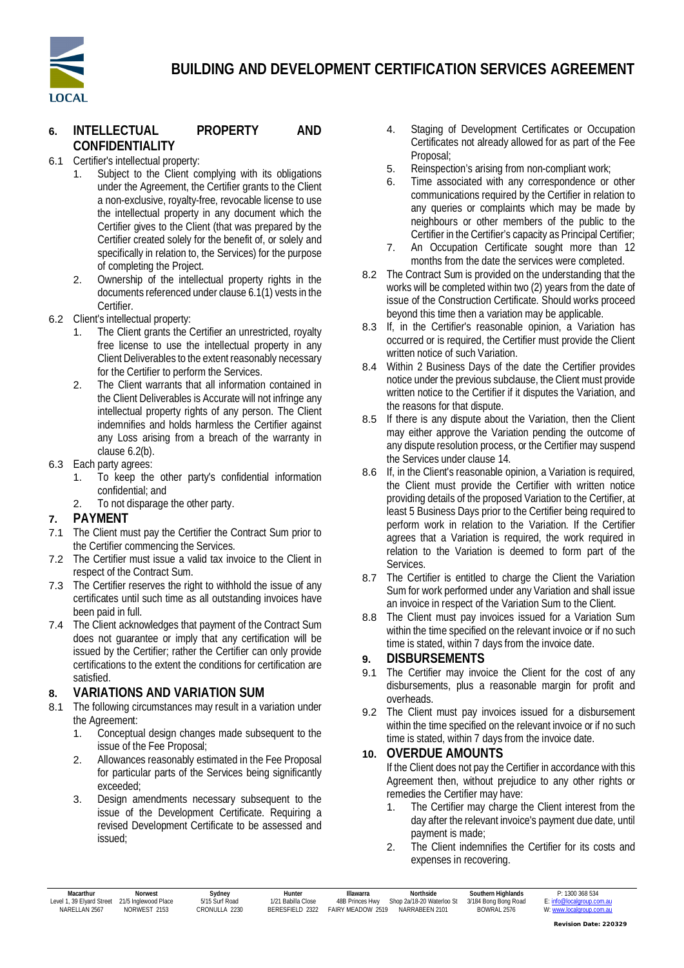

# **BUILDING AND DEVELOPMENT CERTIFICATION SERVICES AGREEMENT**

### **6. INTELLECTUAL PROPERTY AND CONFIDENTIALITY**

- 6.1 Certifier's intellectual property:
	- 1. Subject to the Client complying with its obligations under the Agreement, the Certifier grants to the Client a non-exclusive, royalty-free, revocable license to use the intellectual property in any document which the Certifier gives to the Client (that was prepared by the Certifier created solely for the benefit of, or solely and specifically in relation to, the Services) for the purpose of completing the Project.
	- 2. Ownership of the intellectual property rights in the documents referenced under clause 6.1(1) vests in the Certifier.
- 6.2 Client's intellectual property:
	- The Client grants the Certifier an unrestricted, royalty free license to use the intellectual property in any Client Deliverables to the extent reasonably necessary for the Certifier to perform the Services.
	- 2. The Client warrants that all information contained in the Client Deliverables is Accurate will not infringe any intellectual property rights of any person. The Client indemnifies and holds harmless the Certifier against any Loss arising from a breach of the warranty in clause 6.2(b).
- 6.3 Each party agrees:
	- 1. To keep the other party's confidential information confidential; and
	- 2. To not disparage the other party.

#### **7. PAYMENT**

- 7.1 The Client must pay the Certifier the Contract Sum prior to the Certifier commencing the Services.
- 7.2 The Certifier must issue a valid tax invoice to the Client in respect of the Contract Sum.
- 7.3 The Certifier reserves the right to withhold the issue of any certificates until such time as all outstanding invoices have been paid in full.
- 7.4 The Client acknowledges that payment of the Contract Sum does not guarantee or imply that any certification will be issued by the Certifier; rather the Certifier can only provide certifications to the extent the conditions for certification are satisfied.

#### **8. VARIATIONS AND VARIATION SUM**

- 8.1 The following circumstances may result in a variation under the Agreement:
	- 1. Conceptual design changes made subsequent to the issue of the Fee Proposal;
	- 2. Allowances reasonably estimated in the Fee Proposal for particular parts of the Services being significantly exceeded;
	- 3. Design amendments necessary subsequent to the issue of the Development Certificate. Requiring a revised Development Certificate to be assessed and issued;
- 4. Staging of Development Certificates or Occupation Certificates not already allowed for as part of the Fee Proposal;
- 5. Reinspection's arising from non-compliant work;
- 6. Time associated with any correspondence or other communications required by the Certifier in relation to any queries or complaints which may be made by neighbours or other members of the public to the Certifier in the Certifier's capacity as Principal Certifier;
- 7. An Occupation Certificate sought more than 12 months from the date the services were completed.
- 8.2 The Contract Sum is provided on the understanding that the works will be completed within two (2) years from the date of issue of the Construction Certificate. Should works proceed beyond this time then a variation may be applicable.
- 8.3 If, in the Certifier's reasonable opinion, a Variation has occurred or is required, the Certifier must provide the Client written notice of such Variation.
- 8.4 Within 2 Business Days of the date the Certifier provides notice under the previous subclause, the Client must provide written notice to the Certifier if it disputes the Variation, and the reasons for that dispute.
- 8.5 If there is any dispute about the Variation, then the Client may either approve the Variation pending the outcome of any dispute resolution process, or the Certifier may suspend the Services under clause 14.
- 8.6 If, in the Client's reasonable opinion, a Variation is required, the Client must provide the Certifier with written notice providing details of the proposed Variation to the Certifier, at least 5 Business Days prior to the Certifier being required to perform work in relation to the Variation. If the Certifier agrees that a Variation is required, the work required in relation to the Variation is deemed to form part of the Services.
- 8.7 The Certifier is entitled to charge the Client the Variation Sum for work performed under any Variation and shall issue an invoice in respect of the Variation Sum to the Client.
- 8.8 The Client must pay invoices issued for a Variation Sum within the time specified on the relevant invoice or if no such time is stated, within 7 days from the invoice date.

#### **9. DISBURSEMENTS**

- 9.1 The Certifier may invoice the Client for the cost of any disbursements, plus a reasonable margin for profit and overheads.
- 9.2 The Client must pay invoices issued for a disbursement within the time specified on the relevant invoice or if no such time is stated, within 7 days from the invoice date.

#### **10. OVERDUE AMOUNTS**

If the Client does not pay the Certifier in accordance with this Agreement then, without prejudice to any other rights or remedies the Certifier may have:

- 1. The Certifier may charge the Client interest from the day after the relevant invoice's payment due date, until payment is made;
- 2. The Client indemnifies the Certifier for its costs and expenses in recovering.

| Macarthur<br>1.39 Elvard Street<br>Level 1 | Norwest<br>21/5 Inglewood Place | Sydney<br>5/15 Surf Road | Hunter<br>1/21 Babilla Close | Illawarra<br>48B Princes Hwy | Northside<br>Shop 2a/18-20 Waterloo St | Southern Highlands<br>3/184 Bong Bong Road | P: 1300 368 534<br>E: info@localgroup.com.au |
|--------------------------------------------|---------------------------------|--------------------------|------------------------------|------------------------------|----------------------------------------|--------------------------------------------|----------------------------------------------|
| <b>NARFII AN 2567</b>                      | NORWEST 2153                    | CRONULLA 2230            | BERESEIELD 2322              | <b>FAIRY MFADOW 2519</b>     | NARRABEEN 2101                         | <b>BOWRAI 2576</b>                         | W: www.<br>ww.localgroup.com.au              |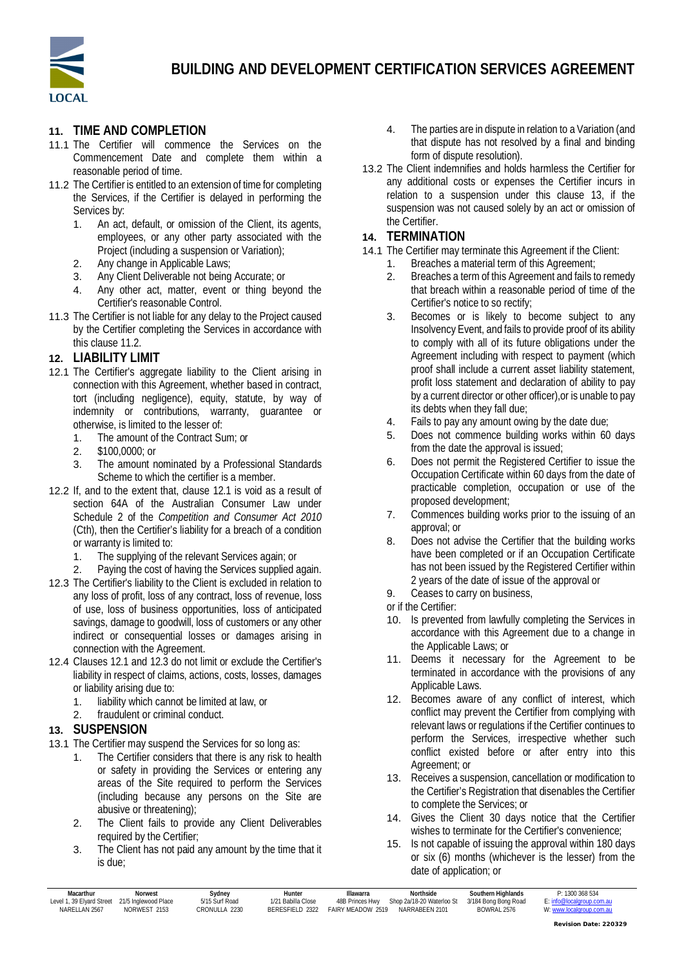

#### **11. TIME AND COMPLETION**

- 11.1 The Certifier will commence the Services on the Commencement Date and complete them within a reasonable period of time.
- 11.2 The Certifier is entitled to an extension of time for completing the Services, if the Certifier is delayed in performing the Services by:
	- 1. An act, default, or omission of the Client, its agents, employees, or any other party associated with the Project (including a suspension or Variation);
	- 2. Any change in Applicable Laws;
	- 3. Any Client Deliverable not being Accurate; or
	- 4. Any other act, matter, event or thing beyond the Certifier's reasonable Control.
- 11.3 The Certifier is not liable for any delay to the Project caused by the Certifier completing the Services in accordance with this clause 11.2.

#### **12. LIABILITY LIMIT**

- 12.1 The Certifier's aggregate liability to the Client arising in connection with this Agreement, whether based in contract, tort (including negligence), equity, statute, by way of indemnity or contributions, warranty, guarantee or otherwise, is limited to the lesser of:
	- 1. The amount of the Contract Sum; or
	- 2. \$100,0000; or
	- 3. The amount nominated by a Professional Standards Scheme to which the certifier is a member.
- 12.2 If, and to the extent that, clause 12.1 is void as a result of section 64A of the Australian Consumer Law under Schedule 2 of the *Competition and Consumer Act 2010* (Cth), then the Certifier's liability for a breach of a condition or warranty is limited to:
	- 1. The supplying of the relevant Services again; or
	- 2. Paying the cost of having the Services supplied again.
- 12.3 The Certifier's liability to the Client is excluded in relation to any loss of profit, loss of any contract, loss of revenue, loss of use, loss of business opportunities, loss of anticipated savings, damage to goodwill, loss of customers or any other indirect or consequential losses or damages arising in connection with the Agreement.
- 12.4 Clauses 12.1 and 12.3 do not limit or exclude the Certifier's liability in respect of claims, actions, costs, losses, damages or liability arising due to:
	- 1. liability which cannot be limited at law, or
	- 2. fraudulent or criminal conduct.

#### **13. SUSPENSION**

- 13.1 The Certifier may suspend the Services for so long as:
	- 1. The Certifier considers that there is any risk to health or safety in providing the Services or entering any areas of the Site required to perform the Services (including because any persons on the Site are abusive or threatening);
	- 2. The Client fails to provide any Client Deliverables required by the Certifier;
	- 3. The Client has not paid any amount by the time that it is due;
- 4. The parties are in dispute in relation to a Variation (and that dispute has not resolved by a final and binding form of dispute resolution).
- 13.2 The Client indemnifies and holds harmless the Certifier for any additional costs or expenses the Certifier incurs in relation to a suspension under this clause 13, if the suspension was not caused solely by an act or omission of the Certifier.

#### **14. TERMINATION**

- 14.1 The Certifier may terminate this Agreement if the Client:
	- 1. Breaches a material term of this Agreement;
	- 2. Breaches a term of this Agreement and fails to remedy that breach within a reasonable period of time of the Certifier's notice to so rectify;
	- 3. Becomes or is likely to become subject to any Insolvency Event, and fails to provide proof of its ability to comply with all of its future obligations under the Agreement including with respect to payment (which proof shall include a current asset liability statement, profit loss statement and declaration of ability to pay by a current director or other officer),or is unable to pay its debts when they fall due;
	- 4. Fails to pay any amount owing by the date due;
	- 5. Does not commence building works within 60 days from the date the approval is issued;
	- 6. Does not permit the Registered Certifier to issue the Occupation Certificate within 60 days from the date of practicable completion, occupation or use of the proposed development;
	- 7. Commences building works prior to the issuing of an approval; or
	- 8. Does not advise the Certifier that the building works have been completed or if an Occupation Certificate has not been issued by the Registered Certifier within 2 years of the date of issue of the approval or
	- 9. Ceases to carry on business,
	- or if the Certifier:
	- 10. Is prevented from lawfully completing the Services in accordance with this Agreement due to a change in the Applicable Laws; or
	- 11. Deems it necessary for the Agreement to be terminated in accordance with the provisions of any Applicable Laws.
	- 12. Becomes aware of any conflict of interest, which conflict may prevent the Certifier from complying with relevant laws or regulations if the Certifier continues to perform the Services, irrespective whether such conflict existed before or after entry into this Agreement; or
	- 13. Receives a suspension, cancellation or modification to the Certifier's Registration that disenables the Certifier to complete the Services; or
	- 14. Gives the Client 30 days notice that the Certifier wishes to terminate for the Certifier's convenience;
	- 15. Is not capable of issuing the approval within 180 days or six (6) months (whichever is the lesser) from the date of application; or

| Macarthur                    | Norwest              | Svdnev         | Hunter                 | <b>Hawarra</b>           | Northside                 | Southern Highlands   | P: 1300 368 534 |
|------------------------------|----------------------|----------------|------------------------|--------------------------|---------------------------|----------------------|-----------------|
| .39 Elvard Street<br>Level 1 | 21/5 Inglewood Place | 5/15 Surf Road | 1/21 Babilla Close     | 48B Princes Hwy          | Shop 2a/18-20 Waterloo St | 3/184 Bong Bong Road |                 |
| NARFI LAN 2567               | NORWEST 2153         | CRONULLA 2230  | <b>BERESEIELD 2322</b> | <b>FAIRY MEADOW 2519</b> | NARRABEEN 2101            | <b>BOWRAI 2576</b>   |                 |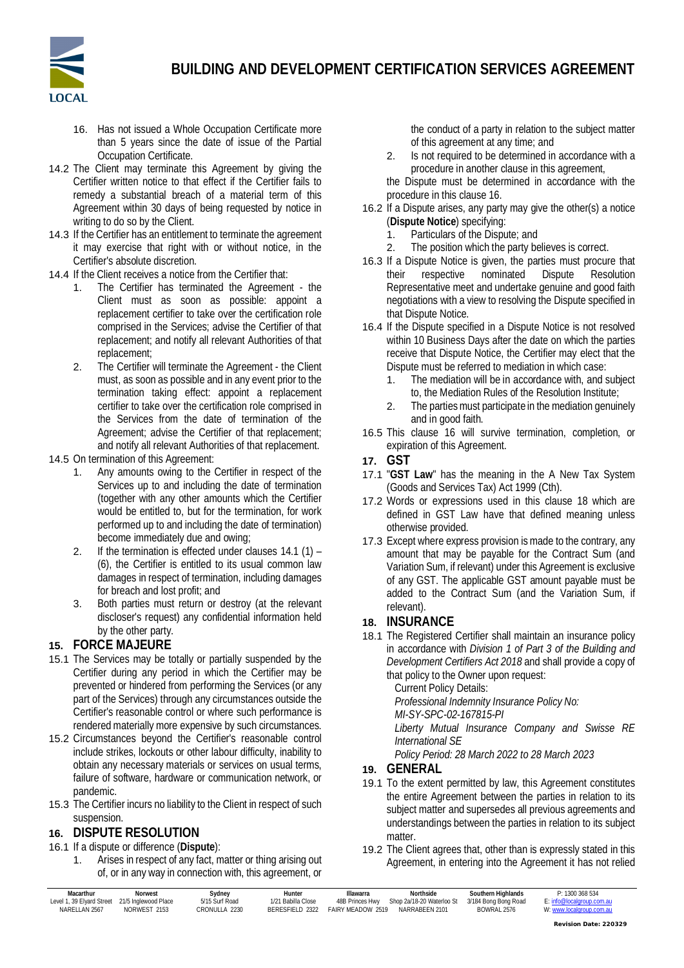

- 16. Has not issued a Whole Occupation Certificate more than 5 years since the date of issue of the Partial Occupation Certificate.
- 14.2 The Client may terminate this Agreement by giving the Certifier written notice to that effect if the Certifier fails to remedy a substantial breach of a material term of this Agreement within 30 days of being requested by notice in writing to do so by the Client.
- 14.3 If the Certifier has an entitlement to terminate the agreement it may exercise that right with or without notice, in the Certifier's absolute discretion.
- 14.4 If the Client receives a notice from the Certifier that:
	- 1. The Certifier has terminated the Agreement the Client must as soon as possible: appoint a replacement certifier to take over the certification role comprised in the Services; advise the Certifier of that replacement; and notify all relevant Authorities of that replacement;
	- 2. The Certifier will terminate the Agreement the Client must, as soon as possible and in any event prior to the termination taking effect: appoint a replacement certifier to take over the certification role comprised in the Services from the date of termination of the Agreement; advise the Certifier of that replacement; and notify all relevant Authorities of that replacement.

#### 14.5 On termination of this Agreement:

- 1. Any amounts owing to the Certifier in respect of the Services up to and including the date of termination (together with any other amounts which the Certifier would be entitled to, but for the termination, for work performed up to and including the date of termination) become immediately due and owing;
- 2. If the termination is effected under clauses 14.1 (1) (6), the Certifier is entitled to its usual common law damages in respect of termination, including damages for breach and lost profit; and
- 3. Both parties must return or destroy (at the relevant discloser's request) any confidential information held by the other party.

### **15. FORCE MAJEURE**

- 15.1 The Services may be totally or partially suspended by the Certifier during any period in which the Certifier may be prevented or hindered from performing the Services (or any part of the Services) through any circumstances outside the Certifier's reasonable control or where such performance is rendered materially more expensive by such circumstances.
- 15.2 Circumstances beyond the Certifier's reasonable control include strikes, lockouts or other labour difficulty, inability to obtain any necessary materials or services on usual terms, failure of software, hardware or communication network, or pandemic.
- 15.3 The Certifier incurs no liability to the Client in respect of such suspension.

### **16. DISPUTE RESOLUTION**

- 16.1 If a dispute or difference (**Dispute**):
	- 1. Arises in respect of any fact, matter or thing arising out of, or in any way in connection with, this agreement, or

the conduct of a party in relation to the subject matter of this agreement at any time; and

2. Is not required to be determined in accordance with a procedure in another clause in this agreement,

the Dispute must be determined in accordance with the procedure in this clause 16.

- 16.2 If a Dispute arises, any party may give the other(s) a notice (**Dispute Notice**) specifying:
	- 1. Particulars of the Dispute; and
	- 2. The position which the party believes is correct.
- 16.3 If a Dispute Notice is given, the parties must procure that their respective nominated Dispute Resolution Representative meet and undertake genuine and good faith negotiations with a view to resolving the Dispute specified in that Dispute Notice.
- 16.4 If the Dispute specified in a Dispute Notice is not resolved within 10 Business Days after the date on which the parties receive that Dispute Notice, the Certifier may elect that the Dispute must be referred to mediation in which case:
	- 1. The mediation will be in accordance with, and subject to, the Mediation Rules of the Resolution Institute;
	- 2. The parties must participate in the mediation genuinely and in good faith.
- 16.5 This clause 16 will survive termination, completion, or expiration of this Agreement.
- **17. GST**
- 17.1 "**GST Law**" has the meaning in the A New Tax System (Goods and Services Tax) Act 1999 (Cth).
- 17.2 Words or expressions used in this clause 18 which are defined in GST Law have that defined meaning unless otherwise provided.
- 17.3 Except where express provision is made to the contrary, any amount that may be payable for the Contract Sum (and Variation Sum, if relevant) under this Agreement is exclusive of any GST. The applicable GST amount payable must be added to the Contract Sum (and the Variation Sum, if relevant).
- **18. INSURANCE**
- 18.1 The Registered Certifier shall maintain an insurance policy in accordance with *Division 1 of Part 3 of the Building and Development Certifiers Act 2018* and shall provide a copy of that policy to the Owner upon request:

Current Policy Details:

*Professional Indemnity Insurance Policy No:*

*MI-SY-SPC-02-167815-PI*

*Liberty Mutual Insurance Company and Swisse RE International SE*

*Policy Period: 28 March 2022 to 28 March 2023*

- **19. GENERAL**
- 19.1 To the extent permitted by law, this Agreement constitutes the entire Agreement between the parties in relation to its subject matter and supersedes all previous agreements and understandings between the parties in relation to its subject matter.
- 19.2 The Client agrees that, other than is expressly stated in this Agreement, in entering into the Agreement it has not relied

| Macarthur                                      | Norwest      | Sydney         | Hunter             | Illawarra                | <b>Northside</b>          | Southern Highlands   | P: 1300 368 534           |
|------------------------------------------------|--------------|----------------|--------------------|--------------------------|---------------------------|----------------------|---------------------------|
| Level 1, 39 Elvard Street 21/5 Inglewood Place |              | 5/15 Surf Road | 1/21 Babilla Close | 48B Princes Hwy          | Shop 2a/18-20 Waterloo St | 3/184 Bong Bong Road | E: info@localgroup.com.au |
| NARFI I AN 2567                                | NORWEST 2153 | CRONULLA 2230  | BERESEIELD 2322    | <b>FAIRY MEADOW 2519</b> | NARRABEEN 2101            | <b>BOWRAI 2576</b>   | W: www.localgroup.com.au  |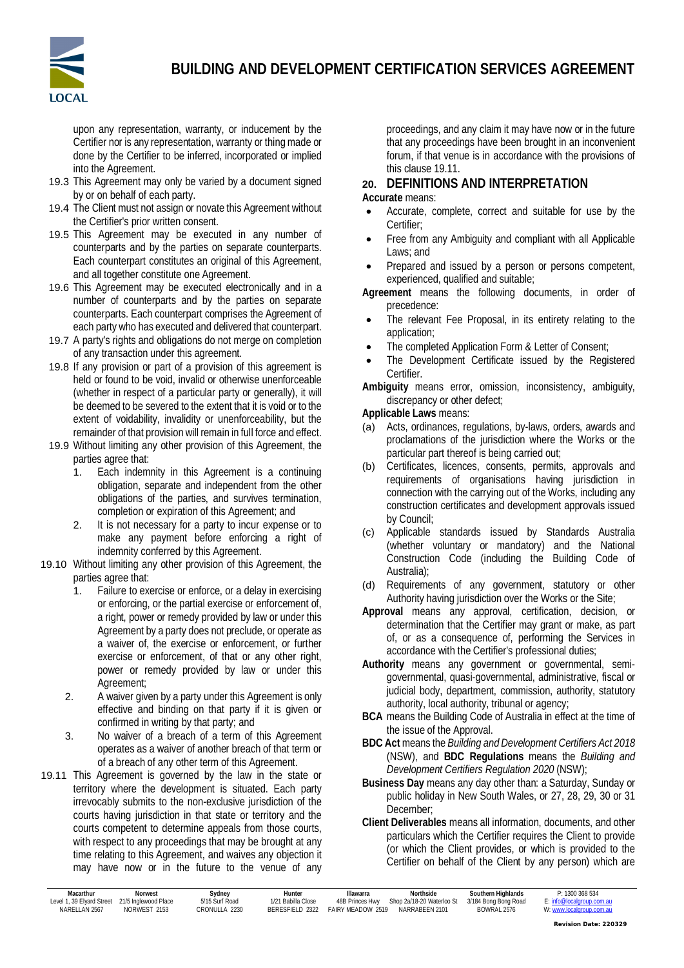

upon any representation, warranty, or inducement by the Certifier nor is any representation, warranty or thing made or done by the Certifier to be inferred, incorporated or implied into the Agreement.

- 19.3 This Agreement may only be varied by a document signed by or on behalf of each party.
- 19.4 The Client must not assign or novate this Agreement without the Certifier's prior written consent.
- 19.5 This Agreement may be executed in any number of counterparts and by the parties on separate counterparts. Each counterpart constitutes an original of this Agreement, and all together constitute one Agreement.
- 19.6 This Agreement may be executed electronically and in a number of counterparts and by the parties on separate counterparts. Each counterpart comprises the Agreement of each party who has executed and delivered that counterpart.
- 19.7 A party's rights and obligations do not merge on completion of any transaction under this agreement.
- 19.8 If any provision or part of a provision of this agreement is held or found to be void, invalid or otherwise unenforceable (whether in respect of a particular party or generally), it will be deemed to be severed to the extent that it is void or to the extent of voidability, invalidity or unenforceability, but the remainder of that provision will remain in full force and effect.
- 19.9 Without limiting any other provision of this Agreement, the parties agree that:
	- 1. Each indemnity in this Agreement is a continuing obligation, separate and independent from the other obligations of the parties, and survives termination, completion or expiration of this Agreement; and
	- 2. It is not necessary for a party to incur expense or to make any payment before enforcing a right of indemnity conferred by this Agreement.
- 19.10 Without limiting any other provision of this Agreement, the parties agree that:
	- 1. Failure to exercise or enforce, or a delay in exercising or enforcing, or the partial exercise or enforcement of, a right, power or remedy provided by law or under this Agreement by a party does not preclude, or operate as a waiver of, the exercise or enforcement, or further exercise or enforcement, of that or any other right, power or remedy provided by law or under this Agreement;
	- 2. A waiver given by a party under this Agreement is only effective and binding on that party if it is given or confirmed in writing by that party; and
	- 3. No waiver of a breach of a term of this Agreement operates as a waiver of another breach of that term or of a breach of any other term of this Agreement.
- 19.11 This Agreement is governed by the law in the state or territory where the development is situated. Each party irrevocably submits to the non-exclusive jurisdiction of the courts having jurisdiction in that state or territory and the courts competent to determine appeals from those courts, with respect to any proceedings that may be brought at any time relating to this Agreement, and waives any objection it may have now or in the future to the venue of any

proceedings, and any claim it may have now or in the future that any proceedings have been brought in an inconvenient forum, if that venue is in accordance with the provisions of this clause 19.11.

**20. DEFINITIONS AND INTERPRETATION**

#### **Accurate** means:

- Accurate, complete, correct and suitable for use by the Certifier;
- Free from any Ambiguity and compliant with all Applicable Laws; and
- Prepared and issued by a person or persons competent, experienced, qualified and suitable;
- **Agreement** means the following documents, in order of precedence:
- The relevant Fee Proposal, in its entirety relating to the application;
- The completed Application Form & Letter of Consent;
- The Development Certificate issued by the Registered Certifier.
- **Ambiguity** means error, omission, inconsistency, ambiguity, discrepancy or other defect;

**Applicable Laws** means:

- (a) Acts, ordinances, regulations, by-laws, orders, awards and proclamations of the jurisdiction where the Works or the particular part thereof is being carried out;
- (b) Certificates, licences, consents, permits, approvals and requirements of organisations having jurisdiction in connection with the carrying out of the Works, including any construction certificates and development approvals issued by Council;
- (c) Applicable standards issued by Standards Australia (whether voluntary or mandatory) and the National Construction Code (including the Building Code of Australia);
- (d) Requirements of any government, statutory or other Authority having jurisdiction over the Works or the Site;
- **Approval** means any approval, certification, decision, or determination that the Certifier may grant or make, as part of, or as a consequence of, performing the Services in accordance with the Certifier's professional duties;
- **Authority** means any government or governmental, semigovernmental, quasi-governmental, administrative, fiscal or judicial body, department, commission, authority, statutory authority, local authority, tribunal or agency;
- **BCA** means the Building Code of Australia in effect at the time of the issue of the Approval.
- **BDC Act** means the *Building and Development Certifiers Act 2018* (NSW), and **BDC Regulations** means the *Building and Development Certifiers Regulation 2020* (NSW);
- **Business Day** means any day other than: a Saturday, Sunday or public holiday in New South Wales, or 27, 28, 29, 30 or 31 December;
- **Client Deliverables** means all information, documents, and other particulars which the Certifier requires the Client to provide (or which the Client provides, or which is provided to the Certifier on behalf of the Client by any person) which are

| Macarthur                 | Norwest              | Svdnev         | Hunter             | Illawarra         | <b>Northside</b>          | Southern Highlands   | P: 1300 368 534           |
|---------------------------|----------------------|----------------|--------------------|-------------------|---------------------------|----------------------|---------------------------|
| Level 1, 39 Elvard Street | 21/5 Inglewood Place | 5/15 Surf Road | 1/21 Babilla Close | 48B Princes Hwy   | Shop 2a/18-20 Waterloo St | 3/184 Bong Bong Road | E: info@localgroup.com.au |
| NARFI LAN 2567            | NORWEST 2153         | CRONULLA 2230  | BERESEIELD 2322    | FAIRY MFADOW 2519 | NARRABEEN 2101            | BOWRAI 2576          | W: www.localgroup.com.au  |